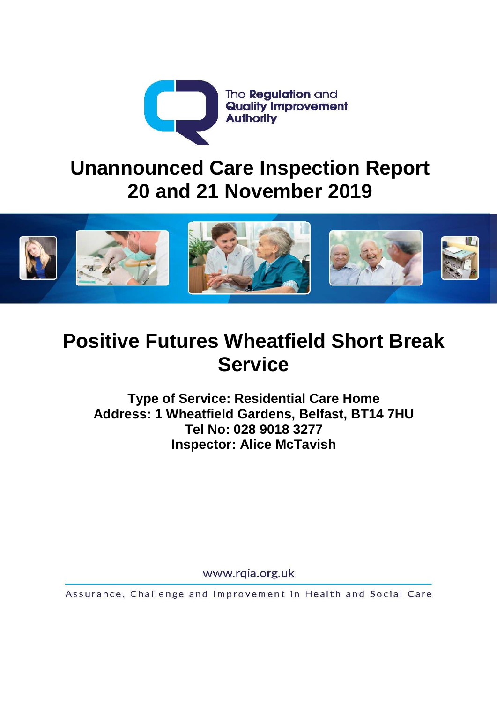

# **Unannounced Care Inspection Report 20 and 21 November 2019**



# **Positive Futures Wheatfield Short Break Service**

**Type of Service: Residential Care Home Address: 1 Wheatfield Gardens, Belfast, BT14 7HU Tel No: 028 9018 3277 Inspector: Alice McTavish**

www.rqia.org.uk

Assurance, Challenge and Improvement in Health and Social Care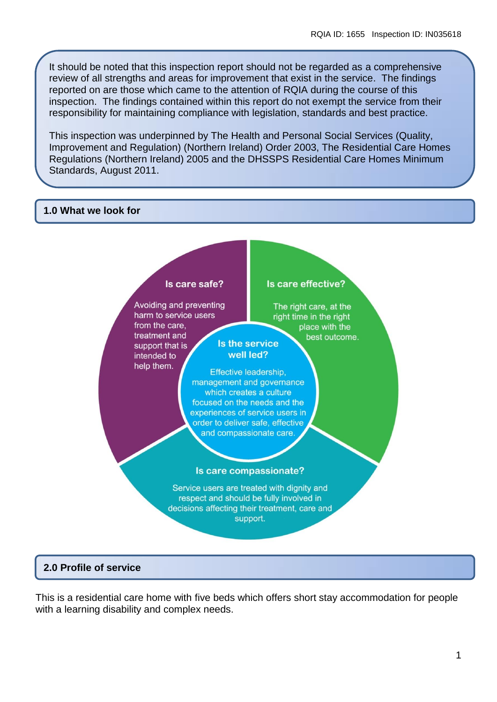It should be noted that this inspection report should not be regarded as a comprehensive review of all strengths and areas for improvement that exist in the service. The findings reported on are those which came to the attention of RQIA during the course of this inspection. The findings contained within this report do not exempt the service from their responsibility for maintaining compliance with legislation, standards and best practice.

This inspection was underpinned by The Health and Personal Social Services (Quality, Improvement and Regulation) (Northern Ireland) Order 2003, The Residential Care Homes Regulations (Northern Ireland) 2005 and the DHSSPS Residential Care Homes Minimum Standards, August 2011.

#### **1.0 What we look for**



# **2.0 Profile of service**

This is a residential care home with five beds which offers short stay accommodation for people with a learning disability and complex needs.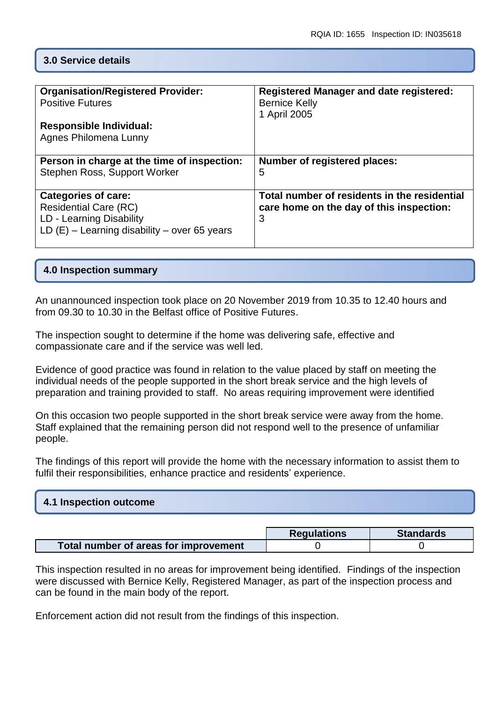# **3.0 Service details**

| <b>Organisation/Registered Provider:</b><br><b>Positive Futures</b><br><b>Responsible Individual:</b><br>Agnes Philomena Lunny           | <b>Registered Manager and date registered:</b><br><b>Bernice Kelly</b><br>1 April 2005        |
|------------------------------------------------------------------------------------------------------------------------------------------|-----------------------------------------------------------------------------------------------|
| Person in charge at the time of inspection:<br>Stephen Ross, Support Worker                                                              | Number of registered places:<br>5                                                             |
| <b>Categories of care:</b><br><b>Residential Care (RC)</b><br>LD - Learning Disability<br>LD $(E)$ – Learning disability – over 65 years | Total number of residents in the residential<br>care home on the day of this inspection:<br>3 |

# **4.0 Inspection summary**

An unannounced inspection took place on 20 November 2019 from 10.35 to 12.40 hours and from 09.30 to 10.30 in the Belfast office of Positive Futures.

The inspection sought to determine if the home was delivering safe, effective and compassionate care and if the service was well led.

Evidence of good practice was found in relation to the value placed by staff on meeting the individual needs of the people supported in the short break service and the high levels of preparation and training provided to staff. No areas requiring improvement were identified

On this occasion two people supported in the short break service were away from the home. Staff explained that the remaining person did not respond well to the presence of unfamiliar people.

The findings of this report will provide the home with the necessary information to assist them to fulfil their responsibilities, enhance practice and residents' experience.

| 4.1 Inspection outcome |  |  |
|------------------------|--|--|
|                        |  |  |

|                                       | <b>Requlations</b> | <b>Standards</b> |
|---------------------------------------|--------------------|------------------|
| Total number of areas for improvement |                    |                  |

This inspection resulted in no areas for improvement being identified. Findings of the inspection were discussed with Bernice Kelly, Registered Manager, as part of the inspection process and can be found in the main body of the report.

Enforcement action did not result from the findings of this inspection.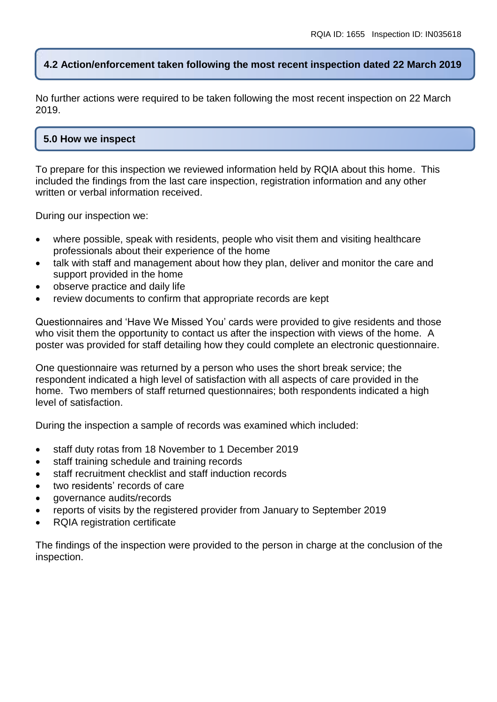# **4.2 Action/enforcement taken following the most recent inspection dated 22 March 2019**

No further actions were required to be taken following the most recent inspection on 22 March 2019.

### **5.0 How we inspect**

To prepare for this inspection we reviewed information held by RQIA about this home. This included the findings from the last care inspection, registration information and any other written or verbal information received.

During our inspection we:

- where possible, speak with residents, people who visit them and visiting healthcare professionals about their experience of the home
- talk with staff and management about how they plan, deliver and monitor the care and support provided in the home
- observe practice and daily life
- review documents to confirm that appropriate records are kept

Questionnaires and 'Have We Missed You' cards were provided to give residents and those who visit them the opportunity to contact us after the inspection with views of the home. A poster was provided for staff detailing how they could complete an electronic questionnaire.

One questionnaire was returned by a person who uses the short break service; the respondent indicated a high level of satisfaction with all aspects of care provided in the home. Two members of staff returned questionnaires; both respondents indicated a high level of satisfaction.

During the inspection a sample of records was examined which included:

- staff duty rotas from 18 November to 1 December 2019
- staff training schedule and training records
- staff recruitment checklist and staff induction records
- two residents' records of care
- governance audits/records
- reports of visits by the registered provider from January to September 2019
- RQIA registration certificate

The findings of the inspection were provided to the person in charge at the conclusion of the inspection.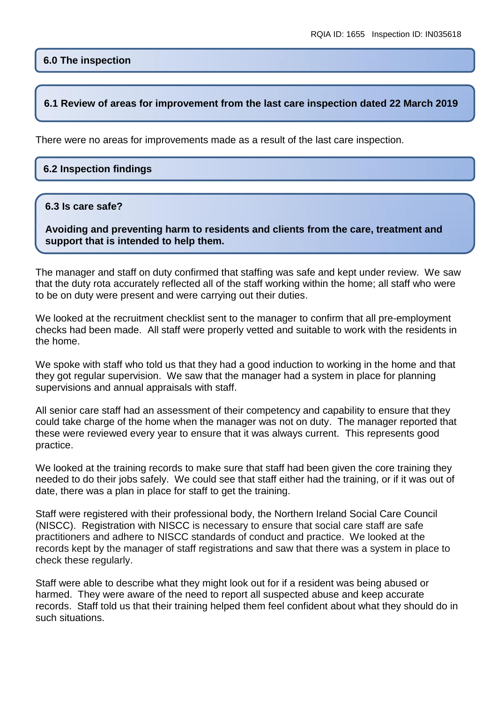# **6.0 The inspection**

#### **6.1 Review of areas for improvement from the last care inspection dated 22 March 2019**

There were no areas for improvements made as a result of the last care inspection.

#### **6.2 Inspection findings**

#### **6.3 Is care safe?**

**Avoiding and preventing harm to residents and clients from the care, treatment and support that is intended to help them.**

The manager and staff on duty confirmed that staffing was safe and kept under review. We saw that the duty rota accurately reflected all of the staff working within the home; all staff who were to be on duty were present and were carrying out their duties.

We looked at the recruitment checklist sent to the manager to confirm that all pre-employment checks had been made. All staff were properly vetted and suitable to work with the residents in the home.

We spoke with staff who told us that they had a good induction to working in the home and that they got regular supervision. We saw that the manager had a system in place for planning supervisions and annual appraisals with staff.

All senior care staff had an assessment of their competency and capability to ensure that they could take charge of the home when the manager was not on duty. The manager reported that these were reviewed every year to ensure that it was always current. This represents good practice.

We looked at the training records to make sure that staff had been given the core training they needed to do their jobs safely. We could see that staff either had the training, or if it was out of date, there was a plan in place for staff to get the training.

Staff were registered with their professional body, the Northern Ireland Social Care Council (NISCC). Registration with NISCC is necessary to ensure that social care staff are safe practitioners and adhere to NISCC standards of conduct and practice. We looked at the records kept by the manager of staff registrations and saw that there was a system in place to check these regularly.

Staff were able to describe what they might look out for if a resident was being abused or harmed. They were aware of the need to report all suspected abuse and keep accurate records. Staff told us that their training helped them feel confident about what they should do in such situations.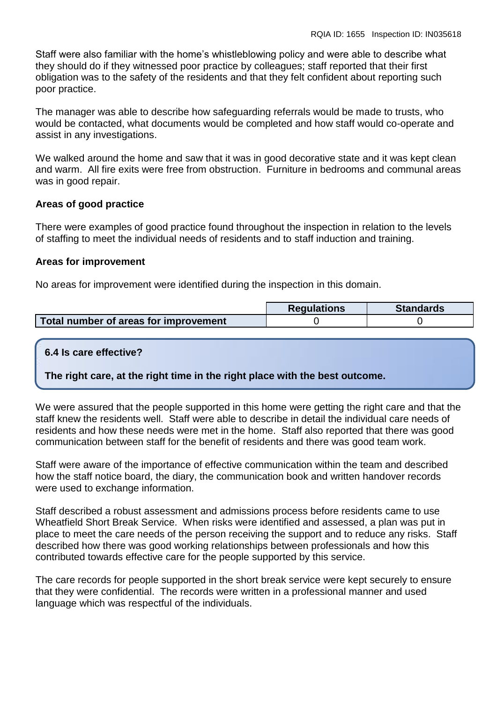Staff were also familiar with the home's whistleblowing policy and were able to describe what they should do if they witnessed poor practice by colleagues; staff reported that their first obligation was to the safety of the residents and that they felt confident about reporting such poor practice.

The manager was able to describe how safeguarding referrals would be made to trusts, who would be contacted, what documents would be completed and how staff would co-operate and assist in any investigations.

We walked around the home and saw that it was in good decorative state and it was kept clean and warm. All fire exits were free from obstruction. Furniture in bedrooms and communal areas was in good repair.

#### **Areas of good practice**

There were examples of good practice found throughout the inspection in relation to the levels of staffing to meet the individual needs of residents and to staff induction and training.

#### **Areas for improvement**

No areas for improvement were identified during the inspection in this domain.

|                                       | <b>Requlations</b> | <b>Standards</b> |
|---------------------------------------|--------------------|------------------|
| Total number of areas for improvement |                    |                  |

# **6.4 Is care effective?**

**The right care, at the right time in the right place with the best outcome.**

We were assured that the people supported in this home were getting the right care and that the staff knew the residents well. Staff were able to describe in detail the individual care needs of residents and how these needs were met in the home. Staff also reported that there was good communication between staff for the benefit of residents and there was good team work.

Staff were aware of the importance of effective communication within the team and described how the staff notice board, the diary, the communication book and written handover records were used to exchange information.

Staff described a robust assessment and admissions process before residents came to use Wheatfield Short Break Service. When risks were identified and assessed, a plan was put in place to meet the care needs of the person receiving the support and to reduce any risks. Staff described how there was good working relationships between professionals and how this contributed towards effective care for the people supported by this service.

The care records for people supported in the short break service were kept securely to ensure that they were confidential. The records were written in a professional manner and used language which was respectful of the individuals.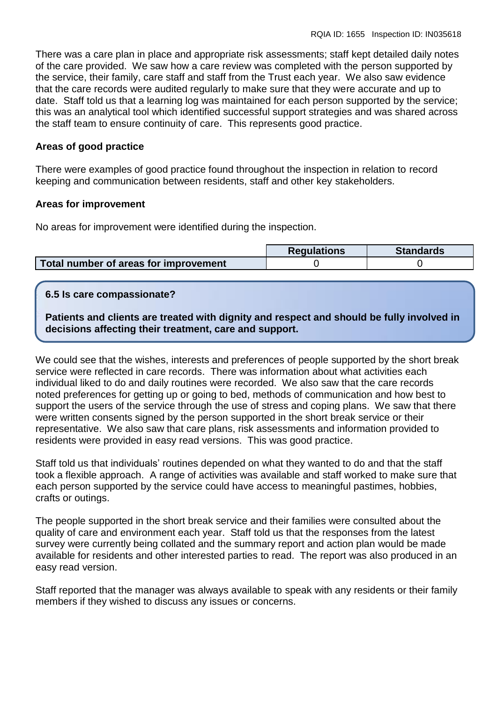There was a care plan in place and appropriate risk assessments; staff kept detailed daily notes of the care provided. We saw how a care review was completed with the person supported by the service, their family, care staff and staff from the Trust each year. We also saw evidence that the care records were audited regularly to make sure that they were accurate and up to date. Staff told us that a learning log was maintained for each person supported by the service; this was an analytical tool which identified successful support strategies and was shared across the staff team to ensure continuity of care. This represents good practice.

#### **Areas of good practice**

There were examples of good practice found throughout the inspection in relation to record keeping and communication between residents, staff and other key stakeholders.

#### **Areas for improvement**

No areas for improvement were identified during the inspection.

|                                       | <b>Regulations</b> | <b>Standards</b> |
|---------------------------------------|--------------------|------------------|
| Total number of areas for improvement |                    |                  |

#### **6.5 Is care compassionate?**

**Patients and clients are treated with dignity and respect and should be fully involved in decisions affecting their treatment, care and support.**

We could see that the wishes, interests and preferences of people supported by the short break service were reflected in care records. There was information about what activities each individual liked to do and daily routines were recorded. We also saw that the care records noted preferences for getting up or going to bed, methods of communication and how best to support the users of the service through the use of stress and coping plans. We saw that there were written consents signed by the person supported in the short break service or their representative. We also saw that care plans, risk assessments and information provided to residents were provided in easy read versions. This was good practice.

Staff told us that individuals' routines depended on what they wanted to do and that the staff took a flexible approach. A range of activities was available and staff worked to make sure that each person supported by the service could have access to meaningful pastimes, hobbies, crafts or outings.

The people supported in the short break service and their families were consulted about the quality of care and environment each year. Staff told us that the responses from the latest survey were currently being collated and the summary report and action plan would be made available for residents and other interested parties to read. The report was also produced in an easy read version.

Staff reported that the manager was always available to speak with any residents or their family members if they wished to discuss any issues or concerns.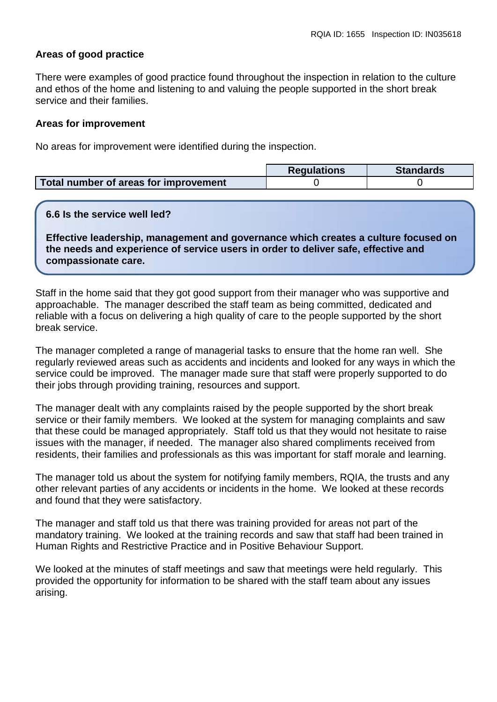### **Areas of good practice**

There were examples of good practice found throughout the inspection in relation to the culture and ethos of the home and listening to and valuing the people supported in the short break service and their families.

#### **Areas for improvement**

No areas for improvement were identified during the inspection.

|                                       | <b>Requlations</b> | <b>Standards</b> |
|---------------------------------------|--------------------|------------------|
| Total number of areas for improvement |                    |                  |

#### **6.6 Is the service well led?**

**Effective leadership, management and governance which creates a culture focused on the needs and experience of service users in order to deliver safe, effective and compassionate care.**

Staff in the home said that they got good support from their manager who was supportive and approachable. The manager described the staff team as being committed, dedicated and reliable with a focus on delivering a high quality of care to the people supported by the short break service.

The manager completed a range of managerial tasks to ensure that the home ran well. She regularly reviewed areas such as accidents and incidents and looked for any ways in which the service could be improved. The manager made sure that staff were properly supported to do their jobs through providing training, resources and support.

The manager dealt with any complaints raised by the people supported by the short break service or their family members. We looked at the system for managing complaints and saw that these could be managed appropriately. Staff told us that they would not hesitate to raise issues with the manager, if needed.The manager also shared compliments received from residents, their families and professionals as this was important for staff morale and learning.

The manager told us about the system for notifying family members, RQIA, the trusts and any other relevant parties of any accidents or incidents in the home. We looked at these records and found that they were satisfactory.

The manager and staff told us that there was training provided for areas not part of the mandatory training. We looked at the training records and saw that staff had been trained in Human Rights and Restrictive Practice and in Positive Behaviour Support.

We looked at the minutes of staff meetings and saw that meetings were held regularly. This provided the opportunity for information to be shared with the staff team about any issues arising.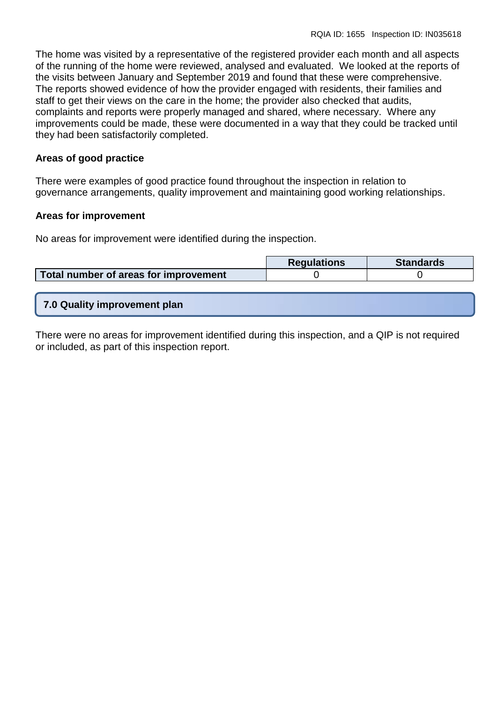The home was visited by a representative of the registered provider each month and all aspects of the running of the home were reviewed, analysed and evaluated. We looked at the reports of the visits between January and September 2019 and found that these were comprehensive. The reports showed evidence of how the provider engaged with residents, their families and staff to get their views on the care in the home; the provider also checked that audits, complaints and reports were properly managed and shared, where necessary. Where any improvements could be made, these were documented in a way that they could be tracked until they had been satisfactorily completed.

#### **Areas of good practice**

There were examples of good practice found throughout the inspection in relation to governance arrangements, quality improvement and maintaining good working relationships.

#### **Areas for improvement**

No areas for improvement were identified during the inspection.

|                                       | <b>Requlations</b> | <b>Standards</b> |
|---------------------------------------|--------------------|------------------|
| Total number of areas for improvement |                    |                  |
|                                       |                    |                  |

**7.0 Quality improvement plan**

There were no areas for improvement identified during this inspection, and a QIP is not required or included, as part of this inspection report.